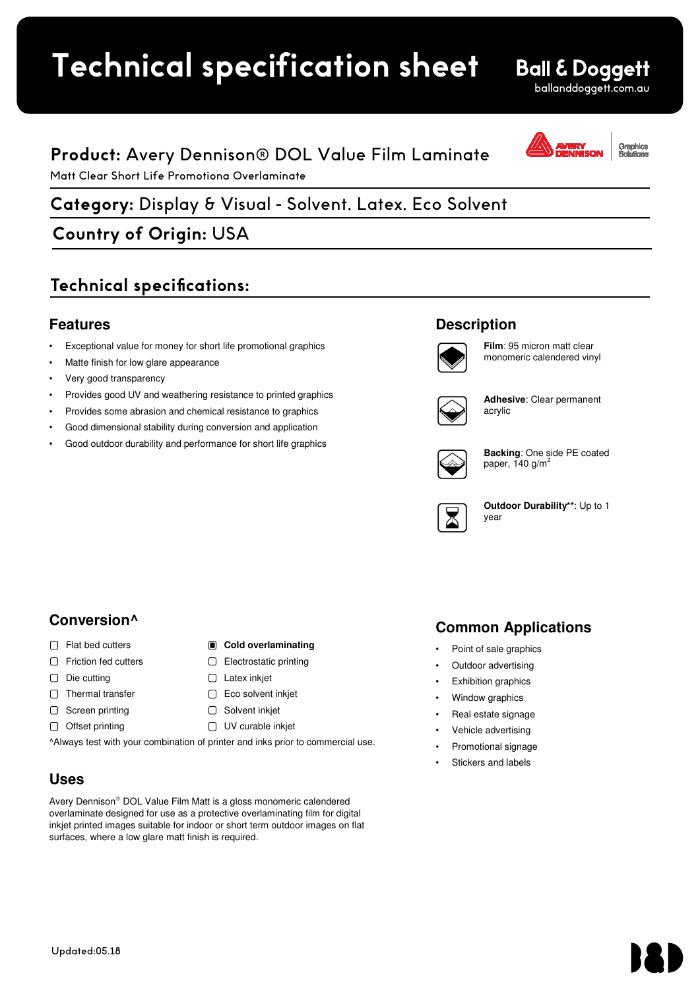## **Uses Technical specification sheet**

## **Product:** Avery Dennison® DOL Value Film Laminate

# Matt Clear Short Life Promotiona Overlaminate<br> **Avery Dennison**<br>
Avery Discussion Collins of Dennison® Dennison® **Category:** Display & Visual - Solvent, Latex, Eco Solvent Gloss Clear Polymeric Calendered Overlaminate

## **Country of Origin:** USA

## **Technical specifications:**

### **Features**

- Exceptional value for money for short life promotional graphics
- Matte finish for low glare appearance
- Very good transparency
- Provides good UV and weathering resistance to printed graphics
- Provides some abrasion and chemical resistance to graphics
- Good dimensional stability during conversion and application
- Good outdoor durability and performance for short life graphics

### **Description**



**Film**: 95 micron matt clear monomeric calendered vinyl

ballanddoggett.com.au

Graphics<br>Solutions

**Ball & Doggett** 



**Adhesive**: Clear permanent acrylic



**Backing**: One side PE coated paper, 140  $g/m^2$ 



**Outdoor Durability\*\***: Up to 1 year

## **Conversion^**

- Flat bed cutters **Cold overlaminating**
- $\Box$  Friction fed cutters
- $\Box$  Die cutting
- $\Box$  Thermal transfer
- $\Box$  Screen printing
- $\Box$  Offset printing

^Always test with your combination of printer and inks prior to commercial use.

□ Electrostatic printing

 $\Box$  Latex inkjet □ Eco solvent inkjet □ Solvent inkjet □ UV curable inkjet

### **Uses**

Avery Dennison® DOL Value Film Matt is a gloss monomeric calendered overlaminate designed for use as a protective overlaminating film for digital inkjet printed images suitable for indoor or short term outdoor images on flat surfaces, where a low glare matt finish is required.

## **Common Applications**

- Point of sale graphics
- Outdoor advertising
- Exhibition graphics
- Window graphics
- Real estate signage
- Vehicle advertising
- Promotional signage
- Stickers and labels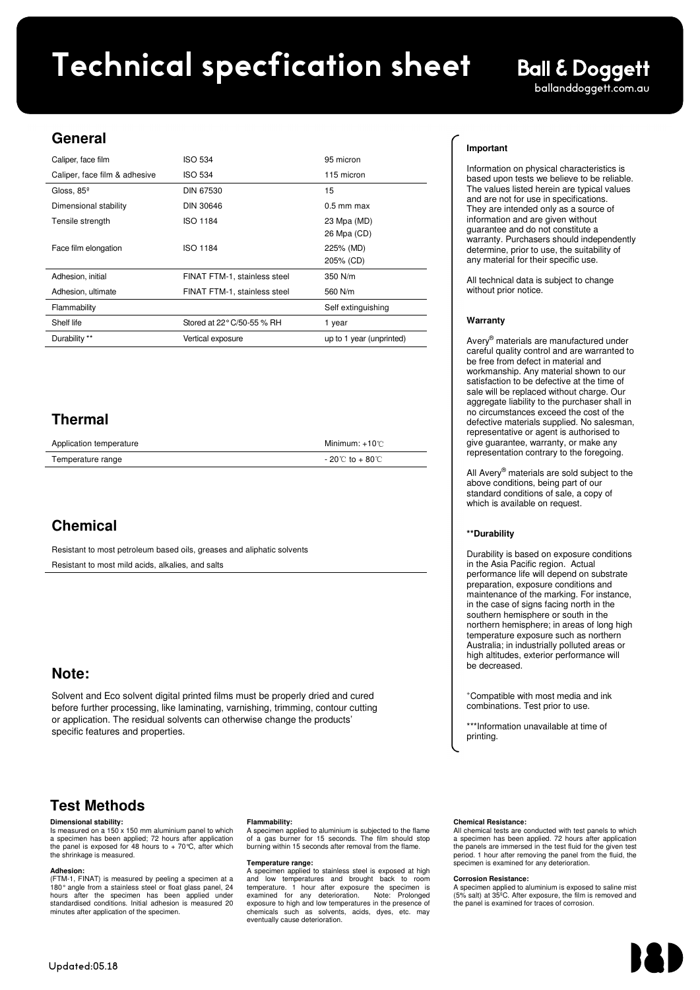# ballanddoggett.com.au **Avery Dennison®** DOL 2000 Gloss Rev. 2 (Nov 2013) **Technical specfication sheet**

### **General**

| Caliper, face film            | <b>ISO 534</b>               | 95 micron                |
|-------------------------------|------------------------------|--------------------------|
| Caliper, face film & adhesive | <b>ISO 534</b>               | 115 micron               |
| Gloss, $85^\circ$             | DIN 67530                    | 15                       |
| Dimensional stability         | <b>DIN 30646</b>             | $0.5$ mm max             |
| Tensile strength              | <b>ISO 1184</b>              | 23 Mpa (MD)              |
|                               |                              | 26 Mpa (CD)              |
| Face film elongation          | <b>ISO 1184</b>              | 225% (MD)                |
|                               |                              | 205% (CD)                |
| Adhesion, initial             | FINAT FTM-1, stainless steel | 350 N/m                  |
| Adhesion, ultimate            | FINAT FTM-1, stainless steel | 560 N/m                  |
| Flammability                  |                              | Self extinguishing       |
| Shelf life                    | Stored at 22° C/50-55 % RH   | 1 year                   |
| Durability **                 | Vertical exposure            | up to 1 year (unprinted) |
|                               |                              |                          |

### **Thermal**

| Application temperature | Minimum: $+10^{\circ}$             |
|-------------------------|------------------------------------|
| Temperature range       | $-20^{\circ}$ C to $+80^{\circ}$ C |

## **Chemical**

Resistant to most petroleum based oils, greases and aliphatic solvents Resistant to most mild acids, alkalies, and salts

### **Note:**

Solvent and Eco solvent digital printed films must be properly dried and cured before further processing, like laminating, varnishing, trimming, contour cutting or application. The residual solvents can otherwise change the products' specific features and properties.

### **Test Methods**

### **Dimensional stability:**

Is measured on a 150 x 150 mm aluminium panel to which a specimen has been applied; 72 hours after application the panel is exposed for 48 hours to  $+70^{\circ}$ C, after which the shrinkage is measured.

**Adhesion:**<br>(FTM-1, FINAT) is measured by peeling a specimen at a<br>180° angle from a stainless steel or float glass panel, 24 hours after the specimen has been applied under standardised conditions. Initial adhesion is measured 20 minutes after application of the specimen.

### **Flammability:**

A specimen applied to aluminium is subjected to the flame of a gas burner for 15 seconds. The film should stop burning within 15 seconds after removal from the flame.

**Temperature range:**  A specimen applied to stainless steel is exposed at high and low temperatures and brought back to room<br>temperature. 1 hour after exposure the specimen is<br>examined for any deterioration. Note: Prolonged<br>exposure to high and low temperatures in the presence of<br>chemicals such as so eventually cause deterioration.

### **Important**

Information on physical characteristics is based upon tests we believe to be reliable. The values listed herein are typical values and are not for use in specifications. They are intended only as a source of information and are given without guarantee and do not constitute a warranty. Purchasers should independently determine, prior to use, the suitability of any material for their specific use.

**Ball & Doggett** 

All technical data is subject to change without prior notice.

### **Warranty**

Avery® materials are manufactured under careful quality control and are warranted to be free from defect in material and workmanship. Any material shown to our satisfaction to be defective at the time of sale will be replaced without charge. Our aggregate liability to the purchaser shall in no circumstances exceed the cost of the defective materials supplied. No salesman, representative or agent is authorised to give guarantee, warranty, or make any representation contrary to the foregoing.

All Avery<sup>®</sup> materials are sold subject to the above conditions, being part of our standard conditions of sale, a copy of which is available on request.

### **\*\*Durability**

Durability is based on exposure conditions in the Asia Pacific region. Actual performance life will depend on substrate preparation, exposure conditions and maintenance of the marking. For instance, in the case of signs facing north in the southern hemisphere or south in the northern hemisphere; in areas of long high temperature exposure such as northern Australia; in industrially polluted areas or high altitudes, exterior performance will be decreased.

<sup>+</sup>Compatible with most media and ink combinations. Test prior to use.

\*\*\*Information unavailable at time of printing.

### **Chemical Resistance:**

All chemical tests are conducted with test panels to which a specimen has been applied. 72 hours after application the panels are immersed in the test fluid for the given test period. 1 hour after removing the panel from the fluid, the specimen is examined for any deterioration.

### **Corrosion Resistance:**

A specimen applied to aluminium is exposed to saline mist (5% salt) at 35ºC. After exposure, the film is removed and the panel is examined for traces of corrosion.

**Avery Dennison Graphics Solutions** Asia Pacific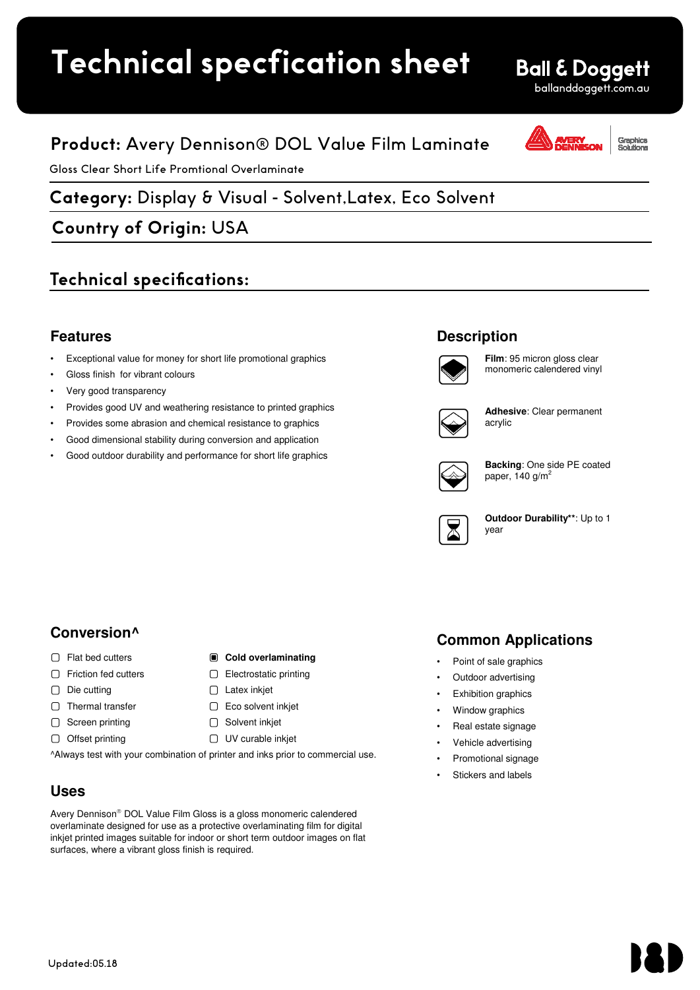## **Uses** Technical specfication sheet

## **Product:** Avery Dennison® DOL Value Film Laminate

Gloss Clear Short Life Promtional Overlaminate

# **Avery Dennison®** MPI 2040 **Category:** Display & Visual - Solvent,Latex, Eco Solvent Gloss Clear Calendered Vinyl Permanent

**Country of Origin:** USA

## **Technical specifications:**

### **Features**

- Exceptional value for money for short life promotional graphics
- Gloss finish for vibrant colours
- Very good transparency
- Provides good UV and weathering resistance to printed graphics
- Provides some abrasion and chemical resistance to graphics
- Good dimensional stability during conversion and application
- Good outdoor durability and performance for short life graphics

### **Description**



**Film**: 95 micron gloss clear monomeric calendered vinyl

ballanddoggett.com.au

raphics

**Ball & Doggett** 



**Adhesive**: Clear permanent acrylic



**Backing**: One side PE coated paper, 140  $g/m<sup>2</sup>$ 



**Outdoor Durability\*\***: Up to 1 year

## **Conversion^**

- □ Flat bed cutters  **Cold overlaminating**
- □ Friction fed cutters
- $\Box$  Die cutting
- $\Box$  Thermal transfer
- $\Box$  Screen printing
- $\Box$  Offset printing
- □ Electrostatic printing  $\Box$  Latex inkiet □ Eco solvent inkjet
- □ Solvent inkjet
- UV curable inkjet

^Always test with your combination of printer and inks prior to commercial use.

### **Uses**

Avery Dennison® DOL Value Film Gloss is a gloss monomeric calendered overlaminate designed for use as a protective overlaminating film for digital inkjet printed images suitable for indoor or short term outdoor images on flat surfaces, where a vibrant gloss finish is required.

## **Common Applications**

- Point of sale graphics
- Outdoor advertising
- Exhibition graphics
- Window graphics
- Real estate signage
- Vehicle advertising
- Promotional signage
- Stickers and labels